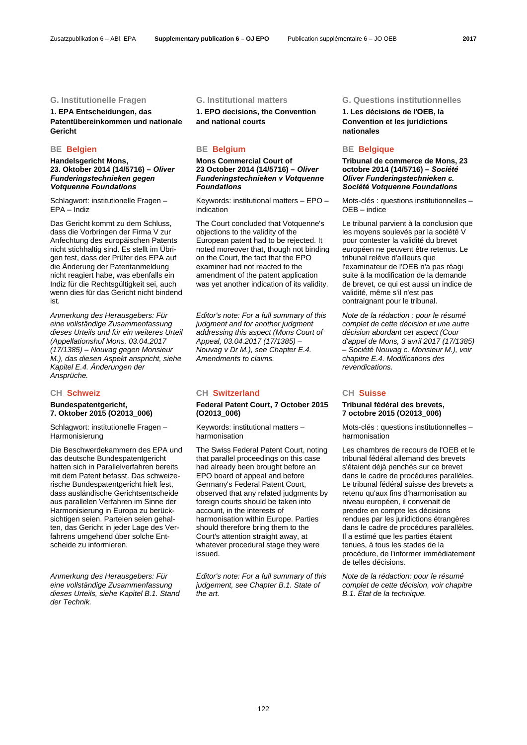## **1. EPA Entscheidungen, das Patentübereinkommen und nationale Gericht**

**Handelsgericht Mons, 23. Oktober 2014 (14/5716) –** *Oliver Funderingstechnieken gegen Votquenne Foundations*

Schlagwort: institutionelle Fragen – EPA – Indiz

Das Gericht kommt zu dem Schluss, dass die Vorbringen der Firma V zur Anfechtung des europäischen Patents nicht stichhaltig sind. Es stellt im Übrigen fest, dass der Prüfer des EPA auf die Änderung der Patentanmeldung nicht reagiert habe, was ebenfalls ein Indiz für die Rechtsgültigkeit sei, auch wenn dies für das Gericht nicht bindend ist.

*Anmerkung des Herausgebers: Für eine vollständige Zusammenfassung dieses Urteils und für ein weiteres Urteil (Appellationshof Mons, 03.04.2017 (17/1385) – Nouvag gegen Monsieur M.), das diesen Aspekt anspricht, siehe Kapitel E.4. Änderungen der Ansprüche.*

# **Bundespatentgericht, 7. Oktober 2015 (O2013\_006)**

Schlagwort: institutionelle Fragen – Harmonisierung

Die Beschwerdekammern des EPA und das deutsche Bundespatentgericht hatten sich in Parallelverfahren bereits mit dem Patent befasst. Das schweizerische Bundespatentgericht hielt fest. dass ausländische Gerichtsentscheide aus parallelen Verfahren im Sinne der Harmonisierung in Europa zu berücksichtigen seien. Parteien seien gehalten, das Gericht in jeder Lage des Verfahrens umgehend über solche Entscheide zu informieren.

*Anmerkung des Herausgebers: Für eine vollständige Zusammenfassung dieses Urteils, siehe Kapitel B.1. Stand der Technik.*

**1. EPO decisions, the Convention and national courts** 

# **BE Belgien BE Belgium BE Belgique**

**Mons Commercial Court of 23 October 2014 (14/5716) –** *Oliver Funderingstechnieken v Votquenne Foundations*

 Keywords: institutional matters – EPO – indication

 The Court concluded that Votquenne's objections to the validity of the European patent had to be rejected. It noted moreover that, though not binding on the Court, the fact that the EPO examiner had not reacted to the amendment of the patent application was yet another indication of its validity.

*Editor's note: For a full summary of this judgment and for another judgment addressing this aspect (Mons Court of Appeal, 03.04.2017 (17/1385) – Nouvag v Dr M.), see Chapter E.4. Amendments to claims.*

## **CH Schweiz CH Switzerland CH Suisse**

## **Federal Patent Court, 7 October 2015 (O2013\_006)**

 Keywords: institutional matters – harmonisation

 The Swiss Federal Patent Court, noting that parallel proceedings on this case had already been brought before an EPO board of appeal and before Germany's Federal Patent Court, observed that any related judgments by foreign courts should be taken into account, in the interests of harmonisation within Europe. Parties should therefore bring them to the Court's attention straight away, at whatever procedural stage they were issued.

*Editor's note: For a full summary of this judgement, see Chapter B.1. State of the art.*

## **G. Institutionelle Fragen G. Institutional matters G. Questions institutionnelles**

**1. Les décisions de l'OEB, la Convention et les juridictions nationales** 

**Tribunal de commerce de Mons, 23 octobre 2014 (14/5716) –** *Société Oliver Funderingstechnieken c. Société Votquenne Foundations*

 Mots-clés : questions institutionnelles – OEB – indice

 Le tribunal parvient à la conclusion que les moyens soulevés par la société V pour contester la validité du brevet européen ne peuvent être retenus. Le tribunal relève d'ailleurs que l'examinateur de l'OEB n'a pas réagi suite à la modification de la demande de brevet, ce qui est aussi un indice de validité, même s'il n'est pas contraignant pour le tribunal.

*Note de la rédaction : pour le résumé complet de cette décision et une autre décision abordant cet aspect (Cour d'appel de Mons, 3 avril 2017 (17/1385) – Société Nouvag c. Monsieur M.), voir chapitre E.4. Modifications des revendications.*

## **Tribunal fédéral des brevets, 7 octobre 2015 (O2013\_006)**

 Mots-clés : questions institutionnelles – harmonisation

 Les chambres de recours de l'OEB et le tribunal fédéral allemand des brevets s'étaient déjà penchés sur ce brevet dans le cadre de procédures parallèles. Le tribunal fédéral suisse des brevets a retenu qu'aux fins d'harmonisation au niveau européen, il convenait de prendre en compte les décisions rendues par les juridictions étrangères dans le cadre de procédures parallèles. Il a estimé que les parties étaient tenues, à tous les stades de la procédure, de l'informer immédiatement de telles décisions.

*Note de la rédaction: pour le résumé complet de cette décision, voir chapitre B.1. État de la technique.*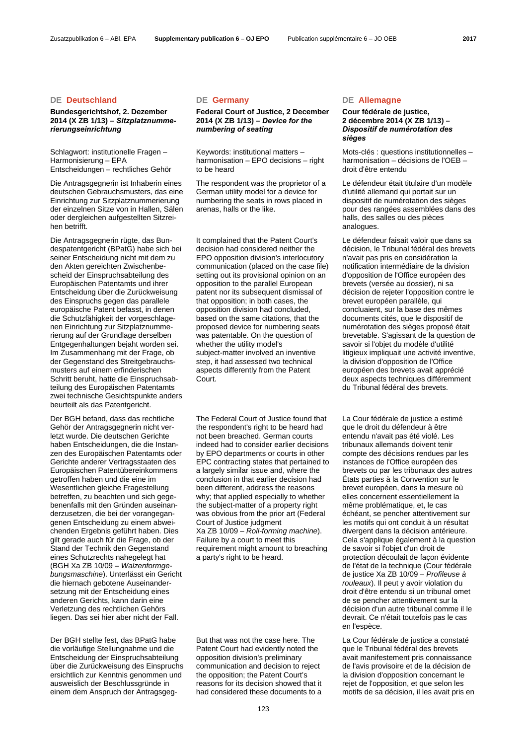## **DE Deutschland DE Germany DE Allemagne**

## **Bundesgerichtshof, 2. Dezember 2014 (X ZB 1/13) –** *Sitzplatznummerierungseinrichtung*

Schlagwort: institutionelle Fragen – Harmonisierung – EPA Entscheidungen – rechtliches Gehör

Die Antragsgegnerin ist Inhaberin eines deutschen Gebrauchsmusters, das eine Einrichtung zur Sitzplatznummerierung der einzelnen Sitze von in Hallen, Sälen oder dergleichen aufgestellten Sitzreihen betrifft.

Die Antragsgegnerin rügte, das Bundespatentgericht (BPatG) habe sich bei seiner Entscheidung nicht mit dem zu den Akten gereichten Zwischenbescheid der Einspruchsabteilung des Europäischen Patentamts und ihrer Entscheidung über die Zurückweisung des Einspruchs gegen das parallele europäische Patent befasst, in denen die Schutzfähigkeit der vorgeschlagenen Einrichtung zur Sitzplatznummerierung auf der Grundlage derselben Entgegenhaltungen bejaht worden sei. Im Zusammenhang mit der Frage, ob der Gegenstand des Streitgebrauchsmusters auf einem erfinderischen Schritt beruht, hatte die Einspruchsabteilung des Europäischen Patentamts zwei technische Gesichtspunkte anders beurteilt als das Patentgericht.

Der BGH befand, dass das rechtliche Gehör der Antragsgegnerin nicht verletzt wurde. Die deutschen Gerichte haben Entscheidungen, die die Instanzen des Europäischen Patentamts oder Gerichte anderer Vertragsstaaten des Europäischen Patentübereinkommens getroffen haben und die eine im Wesentlichen gleiche Fragestellung betreffen, zu beachten und sich gegebenenfalls mit den Gründen auseinanderzusetzen, die bei der vorangegangenen Entscheidung zu einem abweichenden Ergebnis geführt haben. Dies gilt gerade auch für die Frage, ob der Stand der Technik den Gegenstand eines Schutzrechts nahegelegt hat (BGH Xa ZB 10/09 – *Walzenformgebungsmaschine*). Unterlässt ein Gericht die hiernach gebotene Auseinandersetzung mit der Entscheidung eines anderen Gerichts, kann darin eine Verletzung des rechtlichen Gehörs liegen. Das sei hier aber nicht der Fall.

Der BGH stellte fest, das BPatG habe die vorläufige Stellungnahme und die Entscheidung der Einspruchsabteilung über die Zurückweisung des Einspruchs ersichtlich zur Kenntnis genommen und ausweislich der Beschlussgründe in einem dem Anspruch der Antragsgeg-

## **Federal Court of Justice, 2 December 2014 (X ZB 1/13) –** *Device for the numbering of seating*

 Keywords: institutional matters – harmonisation – EPO decisions – right to be heard

 The respondent was the proprietor of a German utility model for a device for numbering the seats in rows placed in arenas, halls or the like.

 It complained that the Patent Court's decision had considered neither the EPO opposition division's interlocutory communication (placed on the case file) setting out its provisional opinion on an opposition to the parallel European patent nor its subsequent dismissal of that opposition; in both cases, the opposition division had concluded, based on the same citations, that the proposed device for numbering seats was patentable. On the question of whether the utility model's subject-matter involved an inventive step, it had assessed two technical aspects differently from the Patent Court.

 The Federal Court of Justice found that the respondent's right to be heard had not been breached. German courts indeed had to consider earlier decisions by EPO departments or courts in other EPC contracting states that pertained to a largely similar issue and, where the conclusion in that earlier decision had been different, address the reasons why; that applied especially to whether the subject-matter of a property right was obvious from the prior art (Federal Court of Justice judgment Xa ZB 10/09 – *Roll-forming machine*). Failure by a court to meet this requirement might amount to breaching a party's right to be heard.

 But that was not the case here. The Patent Court had evidently noted the opposition division's preliminary communication and decision to reject the opposition; the Patent Court's reasons for its decision showed that it had considered these documents to a

## **Cour fédérale de justice, 2 décembre 2014 (X ZB 1/13) –**  *Dispositif de numérotation des sièges*

 Mots-clés : questions institutionnelles – harmonisation – décisions de l'OEB – droit d'être entendu

 Le défendeur était titulaire d'un modèle d'utilité allemand qui portait sur un dispositif de numérotation des sièges pour des rangées assemblées dans des halls, des salles ou des pièces analogues.

 Le défendeur faisait valoir que dans sa décision, le Tribunal fédéral des brevets n'avait pas pris en considération la notification intermédiaire de la division d'opposition de l'Office européen des brevets (versée au dossier), ni sa décision de rejeter l'opposition contre le brevet européen parallèle, qui concluaient, sur la base des mêmes documents cités, que le dispositif de numérotation des sièges proposé était brevetable. S'agissant de la question de savoir si l'objet du modèle d'utilité litigieux impliquait une activité inventive, la division d'opposition de l'Office européen des brevets avait apprécié deux aspects techniques différemment du Tribunal fédéral des brevets.

 La Cour fédérale de justice a estimé que le droit du défendeur à être entendu n'avait pas été violé. Les tribunaux allemands doivent tenir compte des décisions rendues par les instances de l'Office européen des brevets ou par les tribunaux des autres États parties à la Convention sur le brevet européen, dans la mesure où elles concernent essentiellement la même problématique, et, le cas échéant, se pencher attentivement sur les motifs qui ont conduit à un résultat divergent dans la décision antérieure. Cela s'applique également à la question de savoir si l'objet d'un droit de protection découlait de façon évidente de l'état de la technique (Cour fédérale de justice Xa ZB 10/09 – *Profileuse à rouleaux*). Il peut y avoir violation du droit d'être entendu si un tribunal omet de se pencher attentivement sur la décision d'un autre tribunal comme il le devrait. Ce n'était toutefois pas le cas en l'espèce.

 La Cour fédérale de justice a constaté que le Tribunal fédéral des brevets avait manifestement pris connaissance de l'avis provisoire et de la décision de la division d'opposition concernant le rejet de l'opposition, et que selon les motifs de sa décision, il les avait pris en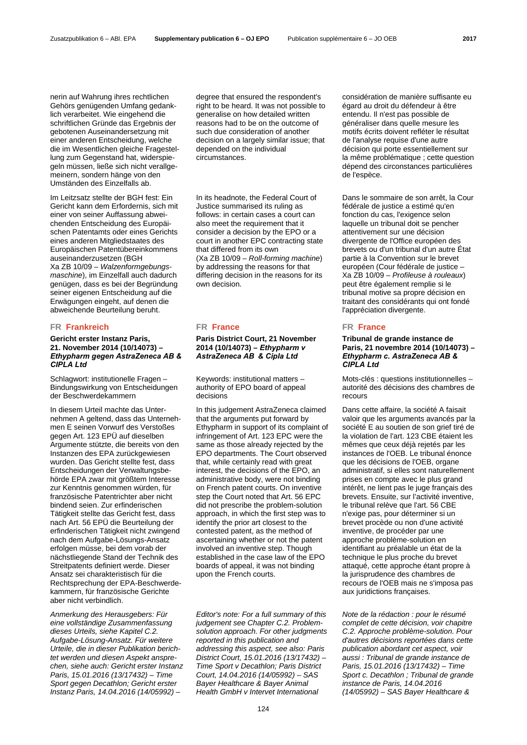nerin auf Wahrung ihres rechtlichen Gehörs genügenden Umfang gedanklich verarbeitet. Wie eingehend die schriftlichen Gründe das Ergebnis der gebotenen Auseinandersetzung mit einer anderen Entscheidung, welche die im Wesentlichen gleiche Fragestellung zum Gegenstand hat, widerspiegeln müssen, ließe sich nicht verallgemeinern, sondern hänge von den Umständen des Einzelfalls ab.

Im Leitzsatz stellte der BGH fest: Ein Gericht kann dem Erfordernis, sich mit einer von seiner Auffassung abweichenden Entscheidung des Europäischen Patentamts oder eines Gerichts eines anderen Mitgliedstaates des Europäischen Patentübereinkommens auseinanderzusetzen (BGH Xa ZB 10/09 – *Walzenformgebungsmaschine*), im Einzelfall auch dadurch genügen, dass es bei der Begründung seiner eigenen Entscheidung auf die Erwägungen eingeht, auf denen die abweichende Beurteilung beruht.

## **FR Frankreich FR France FR France**

## **Gericht erster Instanz Paris, 21. November 2014 (10/14073) –**  *Ethypharm gegen AstraZeneca AB & CIPLA Ltd*

Schlagwort: institutionelle Fragen – Bindungswirkung von Entscheidungen der Beschwerdekammern

In diesem Urteil machte das Unternehmen A geltend, dass das Unternehmen E seinen Vorwurf des Verstoßes gegen Art. 123 EPÜ auf dieselben Argumente stützte, die bereits von den Instanzen des EPA zurückgewiesen wurden. Das Gericht stellte fest, dass Entscheidungen der Verwaltungsbehörde EPA zwar mit größtem Interesse zur Kenntnis genommen würden, für französische Patentrichter aber nicht bindend seien. Zur erfinderischen Tätigkeit stellte das Gericht fest, dass nach Art. 56 EPÜ die Beurteilung der erfinderischen Tätigkeit nicht zwingend nach dem Aufgabe-Lösungs-Ansatz erfolgen müsse, bei dem vorab der nächstliegende Stand der Technik des Streitpatents definiert werde. Dieser Ansatz sei charakteristisch für die Rechtsprechung der EPA-Beschwerdekammern, für französische Gerichte aber nicht verbindlich.

*Anmerkung des Herausgebers: Für eine vollständige Zusammenfassung dieses Urteils, siehe Kapitel C.2. Aufgabe-Lösung-Ansatz. Für weitere Urteile, die in dieser Publikation berichtet werden und diesen Aspekt ansprechen, siehe auch: Gericht erster Instanz Paris, 15.01.2016 (13/17432) – Time Sport gegen Decathlon; Gericht erster Instanz Paris, 14.04.2016 (14/05992) –* 

degree that ensured the respondent's right to be heard. It was not possible to generalise on how detailed written reasons had to be on the outcome of such due consideration of another decision on a largely similar issue; that depended on the individual circumstances.

 In its headnote, the Federal Court of Justice summarised its ruling as follows: in certain cases a court can also meet the requirement that it consider a decision by the EPO or a court in another EPC contracting state that differed from its own (Xa ZB 10/09 – *Roll-forming machine*) by addressing the reasons for that differing decision in the reasons for its own decision.

## **Paris District Court, 21 November 2014 (10/14073) –** *Ethypharm v AstraZeneca AB & Cipla Ltd*

 Keywords: institutional matters – authority of EPO board of appeal decisions

 In this judgement AstraZeneca claimed that the arguments put forward by Ethypharm in support of its complaint of infringement of Art. 123 EPC were the same as those already rejected by the EPO departments. The Court observed that, while certainly read with great interest, the decisions of the EPO, an administrative body, were not binding on French patent courts. On inventive step the Court noted that Art. 56 EPC did not prescribe the problem-solution approach, in which the first step was to identify the prior art closest to the contested patent, as the method of ascertaining whether or not the patent involved an inventive step. Though established in the case law of the EPO boards of appeal, it was not binding upon the French courts.

*Editor's note: For a full summary of this judgement see Chapter C.2. Problemsolution approach. For other judgments reported in this publication and addressing this aspect, see also: Paris District Court, 15.01.2016 (13/17432) – Time Sport v Decathlon; Paris District Court, 14.04.2016 (14/05992) – SAS Bayer Healthcare & Bayer Animal Health GmbH v Intervet International* 

considération de manière suffisante eu égard au droit du défendeur à être entendu. Il n'est pas possible de généraliser dans quelle mesure les motifs écrits doivent refléter le résultat de l'analyse requise d'une autre décision qui porte essentiellement sur la même problématique ; cette question dépend des circonstances particulières de l'espèce.

 Dans le sommaire de son arrêt, la Cour fédérale de justice a estimé qu'en fonction du cas, l'exigence selon laquelle un tribunal doit se pencher attentivement sur une décision divergente de l'Office européen des brevets ou d'un tribunal d'un autre État partie à la Convention sur le brevet européen (Cour fédérale de justice – Xa ZB 10/09 – *Profileuse à rouleaux*) peut être également remplie si le tribunal motive sa propre décision en traitant des considérants qui ont fondé l'appréciation divergente.

### **Tribunal de grande instance de Paris, 21 novembre 2014 (10/14073) –** *Ethypharm c. AstraZeneca AB & CIPLA Ltd*

 Mots-clés : questions institutionnelles – autorité des décisions des chambres de recours

 Dans cette affaire, la société A faisait valoir que les arguments avancés par la société E au soutien de son grief tiré de la violation de l'art. 123 CBE étaient les mêmes que ceux déjà rejetés par les instances de l'OEB. Le tribunal énonce que les décisions de l'OEB, organe administratif, si elles sont naturellement prises en compte avec le plus grand intérêt, ne lient pas le juge français des brevets. Ensuite, sur l'activité inventive, le tribunal relève que l'art. 56 CBE n'exige pas, pour déterminer si un brevet procède ou non d'une activité inventive, de procéder par une approche problème-solution en identifiant au préalable un état de la technique le plus proche du brevet attaqué, cette approche étant propre à la jurisprudence des chambres de recours de l'OEB mais ne s'imposa pas aux juridictions françaises.

*Note de la rédaction : pour le résumé complet de cette décision, voir chapitre C.2. Approche problème-solution. Pour d'autres décisions reportées dans cette publication abordant cet aspect, voir aussi : Tribunal de grande instance de Paris, 15.01.2016 (13/17432) – Time Sport c. Decathlon ; Tribunal de grande instance de Paris, 14.04.2016 (14/05992) – SAS Bayer Healthcare &*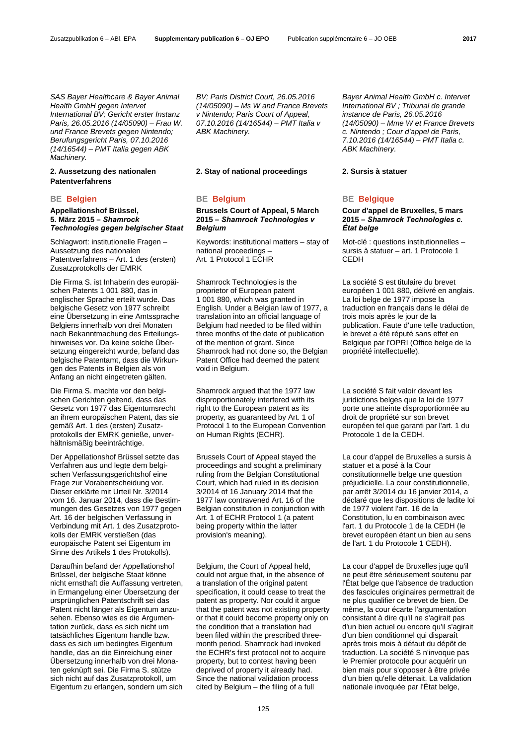*SAS Bayer Healthcare & Bayer Animal Health GmbH gegen Intervet International BV; Gericht erster Instanz Paris, 26.05.2016 (14/05090) – Frau W. und France Brevets gegen Nintendo; Berufungsgericht Paris, 07.10.2016 (14/16544) – PMT Italia gegen ABK Machinery.*

## **2. Aussetzung des nationalen Patentverfahrens**

## **Appellationshof Brüssel, 5. März 2015 –** *Shamrock Technologies gegen belgischer Staat*

Schlagwort: institutionelle Fragen – Aussetzung des nationalen Patentverfahrens – Art. 1 des (ersten) Zusatzprotokolls der EMRK

Die Firma S. ist Inhaberin des europäischen Patents 1 001 880, das in englischer Sprache erteilt wurde. Das belgische Gesetz von 1977 schreibt eine Übersetzung in eine Amtssprache Belgiens innerhalb von drei Monaten nach Bekanntmachung des Erteilungshinweises vor. Da keine solche Übersetzung eingereicht wurde, befand das belgische Patentamt, dass die Wirkungen des Patents in Belgien als von Anfang an nicht eingetreten gälten.

Die Firma S. machte vor den belgischen Gerichten geltend, dass das Gesetz von 1977 das Eigentumsrecht an ihrem europäischen Patent, das sie gemäß Art. 1 des (ersten) Zusatzprotokolls der EMRK genieße, unverhältnismäßig beeinträchtige.

Der Appellationshof Brüssel setzte das Verfahren aus und legte dem belgischen Verfassungsgerichtshof eine Frage zur Vorabentscheidung vor. Dieser erklärte mit Urteil Nr. 3/2014 vom 16. Januar 2014, dass die Bestimmungen des Gesetzes von 1977 gegen Art. 16 der belgischen Verfassung in Verbindung mit Art. 1 des Zusatzprotokolls der EMRK verstießen (das europäische Patent sei Eigentum im Sinne des Artikels 1 des Protokolls).

Daraufhin befand der Appellationshof Brüssel, der belgische Staat könne nicht ernsthaft die Auffassung vertreten, in Ermangelung einer Übersetzung der ursprünglichen Patentschrift sei das Patent nicht länger als Eigentum anzusehen. Ebenso wies es die Argumentation zurück, dass es sich nicht um tatsächliches Eigentum handle bzw. dass es sich um bedingtes Eigentum handle, das an die Einreichung einer Übersetzung innerhalb von drei Monaten geknüpft sei. Die Firma S. stütze sich nicht auf das Zusatzprotokoll, um Eigentum zu erlangen, sondern um sich *BV; Paris District Court, 26.05.2016 (14/05090) – Ms W and France Brevets v Nintendo; Paris Court of Appeal, 07.10.2016 (14/16544) – PMT Italia v ABK Machinery.*

## **2. Stay of national proceedings 2. Sursis à statuer**

# **BE Belgien BE Belgium BE Belgique**

 **Brussels Court of Appeal, 5 March 2015 –** *Shamrock Technologies v Belgium*

 Keywords: institutional matters – stay of national proceedings – Art. 1 Protocol 1 ECHR

 Shamrock Technologies is the proprietor of European patent 1 001 880, which was granted in English. Under a Belgian law of 1977, a translation into an official language of Belgium had needed to be filed within three months of the date of publication of the mention of grant. Since Shamrock had not done so, the Belgian Patent Office had deemed the patent void in Belgium.

 Shamrock argued that the 1977 law disproportionately interfered with its right to the European patent as its property, as guaranteed by Art. 1 of Protocol 1 to the European Convention on Human Rights (ECHR).

 Brussels Court of Appeal stayed the proceedings and sought a preliminary ruling from the Belgian Constitutional Court, which had ruled in its decision 3/2014 of 16 January 2014 that the 1977 law contravened Art. 16 of the Belgian constitution in conjunction with Art. 1 of ECHR Protocol 1 (a patent being property within the latter provision's meaning).

 Belgium, the Court of Appeal held, could not argue that, in the absence of a translation of the original patent specification, it could cease to treat the patent as property. Nor could it argue that the patent was not existing property or that it could become property only on the condition that a translation had been filed within the prescribed threemonth period. Shamrock had invoked the ECHR's first protocol not to acquire property, but to contest having been deprived of property it already had. Since the national validation process cited by Belgium – the filing of a full

*Bayer Animal Health GmbH c. Intervet International BV ; Tribunal de grande instance de Paris, 26.05.2016 (14/05090) – Mme W et France Brevets c. Nintendo ; Cour d'appel de Paris, 7.10.2016 (14/16544) – PMT Italia c. ABK Machinery.*

## **Cour d'appel de Bruxelles, 5 mars 2015 –** *Shamrock Technologies c. État belge*

 Mot-clé : questions institutionnelles – sursis à statuer – art. 1 Protocole 1 CEDH

 La société S est titulaire du brevet européen 1 001 880, délivré en anglais. La loi belge de 1977 impose la traduction en français dans le délai de trois mois après le jour de la publication. Faute d'une telle traduction, le brevet a été réputé sans effet en Belgique par l'OPRI (Office belge de la propriété intellectuelle).

 La société S fait valoir devant les juridictions belges que la loi de 1977 porte une atteinte disproportionnée au droit de propriété sur son brevet européen tel que garanti par l'art. 1 du Protocole 1 de la CEDH.

 La cour d'appel de Bruxelles a sursis à statuer et a posé à la Cour constitutionnelle belge une question préjudicielle. La cour constitutionnelle, par arrêt 3/2014 du 16 janvier 2014, a déclaré que les dispositions de ladite loi de 1977 violent l'art. 16 de la Constitution, lu en combinaison avec l'art. 1 du Protocole 1 de la CEDH (le brevet européen étant un bien au sens de l'art. 1 du Protocole 1 CEDH).

 La cour d'appel de Bruxelles juge qu'il ne peut être sérieusement soutenu par l'État belge que l'absence de traduction des fascicules originaires permettrait de ne plus qualifier ce brevet de bien. De même, la cour écarte l'argumentation consistant à dire qu'il ne s'agirait pas d'un bien actuel ou encore qu'il s'agirait d'un bien conditionnel qui disparaît après trois mois à défaut du dépôt de traduction. La société S n'invoque pas le Premier protocole pour acquérir un bien mais pour s'opposer à être privée d'un bien qu'elle détenait. La validation nationale invoquée par l'État belge,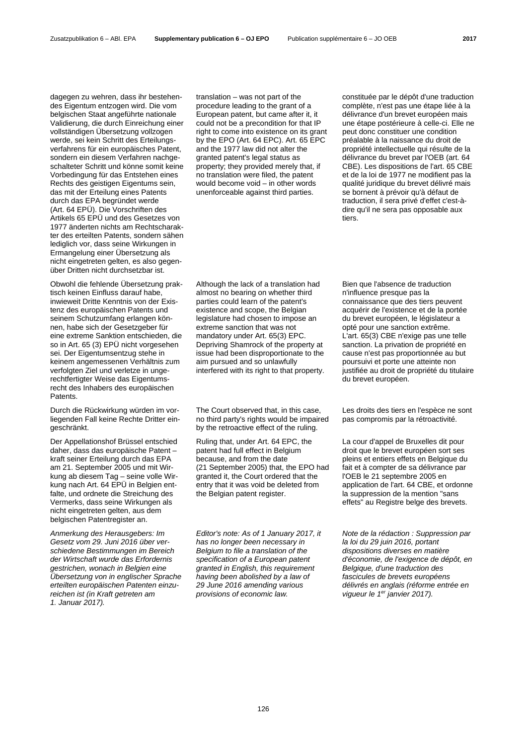dagegen zu wehren, dass ihr bestehendes Eigentum entzogen wird. Die vom belgischen Staat angeführte nationale Validierung, die durch Einreichung einer vollständigen Übersetzung vollzogen werde, sei kein Schritt des Erteilungsverfahrens für ein europäisches Patent, sondern ein diesem Verfahren nachgeschalteter Schritt und könne somit keine Vorbedingung für das Entstehen eines Rechts des geistigen Eigentums sein, das mit der Erteilung eines Patents durch das EPA begründet werde (Art. 64 EPÜ). Die Vorschriften des Artikels 65 EPÜ und des Gesetzes von 1977 änderten nichts am Rechtscharakter des erteilten Patents, sondern sähen lediglich vor, dass seine Wirkungen in Ermangelung einer Übersetzung als nicht eingetreten gelten, es also gegenüber Dritten nicht durchsetzbar ist.

Obwohl die fehlende Übersetzung praktisch keinen Einfluss darauf habe, inwieweit Dritte Kenntnis von der Existenz des europäischen Patents und seinem Schutzumfang erlangen können, habe sich der Gesetzgeber für eine extreme Sanktion entschieden, die so in Art. 65 (3) EPÜ nicht vorgesehen sei. Der Eigentumsentzug stehe in keinem angemessenen Verhältnis zum verfolgten Ziel und verletze in ungerechtfertigter Weise das Eigentumsrecht des Inhabers des europäischen Patents.

Durch die Rückwirkung würden im vorliegenden Fall keine Rechte Dritter eingeschränkt.

Der Appellationshof Brüssel entschied daher, dass das europäische Patent – kraft seiner Erteilung durch das EPA am 21. September 2005 und mit Wirkung ab diesem Tag – seine volle Wirkung nach Art. 64 EPÜ in Belgien entfalte, und ordnete die Streichung des Vermerks, dass seine Wirkungen als nicht eingetreten gelten, aus dem belgischen Patentregister an.

*Anmerkung des Herausgebers: Im Gesetz vom 29. Juni 2016 über verschiedene Bestimmungen im Bereich der Wirtschaft wurde das Erfordernis gestrichen, wonach in Belgien eine Übersetzung von in englischer Sprache erteilten europäischen Patenten einzureichen ist (in Kraft getreten am 1. Januar 2017).*

translation – was not part of the procedure leading to the grant of a European patent, but came after it, it could not be a precondition for that IP right to come into existence on its grant by the EPO (Art. 64 EPC). Art. 65 EPC and the 1977 law did not alter the granted patent's legal status as property; they provided merely that, if no translation were filed, the patent would become void – in other words unenforceable against third parties.

Although the lack of a translation had almost no bearing on whether third parties could learn of the patent's existence and scope, the Belgian legislature had chosen to impose an extreme sanction that was not mandatory under Art. 65(3) EPC. Depriving Shamrock of the property at issue had been disproportionate to the aim pursued and so unlawfully interfered with its right to that property.

 The Court observed that, in this case, no third party's rights would be impaired by the retroactive effect of the ruling.

 Ruling that, under Art. 64 EPC, the patent had full effect in Belgium because, and from the date (21 September 2005) that, the EPO had granted it, the Court ordered that the entry that it was void be deleted from the Belgian patent register.

*Editor's note: As of 1 January 2017, it has no longer been necessary in Belgium to file a translation of the specification of a European patent granted in English, this requirement having been abolished by a law of 29 June 2016 amending various provisions of economic law.*

constituée par le dépôt d'une traduction complète, n'est pas une étape liée à la délivrance d'un brevet européen mais une étape postérieure à celle-ci. Elle ne peut donc constituer une condition préalable à la naissance du droit de propriété intellectuelle qui résulte de la délivrance du brevet par l'OEB (art. 64 CBE). Les dispositions de l'art. 65 CBE et de la loi de 1977 ne modifient pas la qualité juridique du brevet délivré mais se bornent à prévoir qu'à défaut de traduction, il sera privé d'effet c'est-àdire qu'il ne sera pas opposable aux tiers.

 Bien que l'absence de traduction n'influence presque pas la connaissance que des tiers peuvent acquérir de l'existence et de la portée du brevet européen, le législateur a opté pour une sanction extrême. L'art. 65(3) CBE n'exige pas une telle sanction. La privation de propriété en cause n'est pas proportionnée au but poursuivi et porte une atteinte non justifiée au droit de propriété du titulaire du brevet européen.

 Les droits des tiers en l'espèce ne sont pas compromis par la rétroactivité.

 La cour d'appel de Bruxelles dit pour droit que le brevet européen sort ses pleins et entiers effets en Belgique du fait et à compter de sa délivrance par l'OEB le 21 septembre 2005 en application de l'art. 64 CBE, et ordonne la suppression de la mention "sans effets" au Registre belge des brevets.

*Note de la rédaction : Suppression par la loi du 29 juin 2016, portant dispositions diverses en matière d'économie, de l'exigence de dépôt, en Belgique, d'une traduction des fascicules de brevets européens délivrés en anglais (réforme entrée en vigueur le 1er janvier 2017).*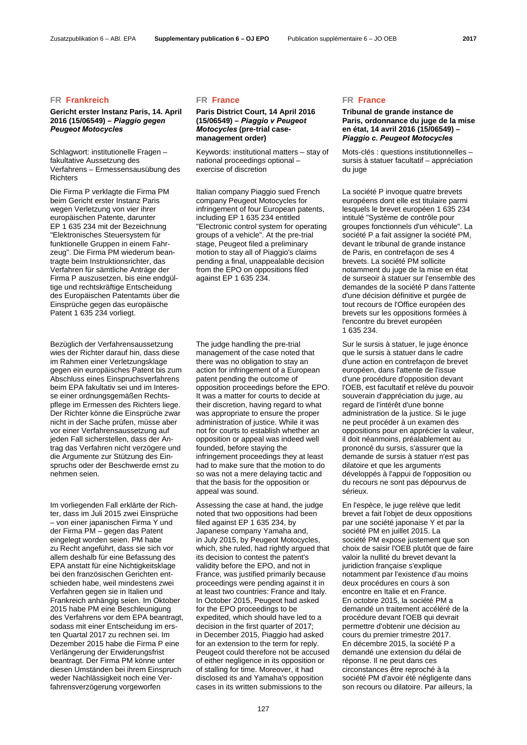### Zusatzpublikation 6 – ABl. EPA **Supplementary publication 6 – OJ EPO** Publication supplémentaire 6 – JO OEB **2017**

## **FR Frankreich FR France FR France**

## **Gericht erster Instanz Paris, 14. April 2016 (15/06549) –** *Piaggio gegen Peugeot Motocycles*

Schlagwort: institutionelle Fragen – fakultative Aussetzung des Verfahrens – Ermessensausübung des **Richters** 

Die Firma P verklagte die Firma PM beim Gericht erster Instanz Paris wegen Verletzung von vier ihrer europäischen Patente, darunter EP 1 635 234 mit der Bezeichnung "Elektronisches Steuersystem für funktionelle Gruppen in einem Fahrzeug". Die Firma PM wiederum beantragte beim Instruktionsrichter, das Verfahren für sämtliche Anträge der Firma P auszusetzen, bis eine endgültige und rechtskräftige Entscheidung des Europäischen Patentamts über die Einsprüche gegen das europäische Patent 1 635 234 vorliegt.

Bezüglich der Verfahrensaussetzung wies der Richter darauf hin, dass diese im Rahmen einer Verletzungsklage gegen ein europäisches Patent bis zum Abschluss eines Einspruchsverfahrens beim EPA fakultativ sei und im Interesse einer ordnungsgemäßen Rechtspflege im Ermessen des Richters liege. Der Richter könne die Einsprüche zwar nicht in der Sache prüfen, müsse aber vor einer Verfahrensaussetzung auf jeden Fall sicherstellen, dass der Antrag das Verfahren nicht verzögere und die Argumente zur Stützung des Einspruchs oder der Beschwerde ernst zu nehmen seien.

Im vorliegenden Fall erklärte der Richter, dass im Juli 2015 zwei Einsprüche – von einer japanischen Firma Y und der Firma PM – gegen das Patent eingelegt worden seien. PM habe zu Recht angeführt, dass sie sich vor allem deshalb für eine Befassung des EPA anstatt für eine Nichtigkeitsklage bei den französischen Gerichten entschieden habe, weil mindestens zwei Verfahren gegen sie in Italien und Frankreich anhängig seien. Im Oktober 2015 habe PM eine Beschleunigung des Verfahrens vor dem EPA beantragt, sodass mit einer Entscheidung im ersten Quartal 2017 zu rechnen sei. Im Dezember 2015 habe die Firma P eine Verlängerung der Erwiderungsfrist beantragt. Der Firma PM könne unter diesen Umständen bei ihrem Einspruch weder Nachlässigkeit noch eine Verfahrensverzögerung vorgeworfen

## **Paris District Court, 14 April 2016 (15/06549) –** *Piaggio v Peugeot Motocycles* **(pre-trial casemanagement order)**

 Keywords: institutional matters – stay of national proceedings optional – exercise of discretion

 Italian company Piaggio sued French company Peugeot Motocycles for infringement of four European patents, including EP 1 635 234 entitled "Electronic control system for operating groups of a vehicle". At the pre-trial stage, Peugeot filed a preliminary motion to stay all of Piaggio's claims pending a final, unappealable decision from the EPO on oppositions filed against EP 1 635 234.

 The judge handling the pre-trial management of the case noted that there was no obligation to stay an action for infringement of a European patent pending the outcome of opposition proceedings before the EPO. It was a matter for courts to decide at their discretion, having regard to what was appropriate to ensure the proper administration of justice. While it was not for courts to establish whether an opposition or appeal was indeed well founded, before staying the infringement proceedings they at least had to make sure that the motion to do so was not a mere delaying tactic and that the basis for the opposition or appeal was sound.

Assessing the case at hand, the judge noted that two oppositions had been filed against EP 1 635 234, by Japanese company Yamaha and, in July 2015, by Peugeot Motocycles, which, she ruled, had rightly argued that its decision to contest the patent's validity before the EPO, and not in France, was justified primarily because proceedings were pending against it in at least two countries: France and Italy. In October 2015, Peugeot had asked for the EPO proceedings to be expedited, which should have led to a decision in the first quarter of 2017; in December 2015, Piaggio had asked for an extension to the term for reply. Peugeot could therefore not be accused of either negligence in its opposition or of stalling for time. Moreover, it had disclosed its and Yamaha's opposition cases in its written submissions to the

## **Tribunal de grande instance de Paris, ordonnance du juge de la mise en état, 14 avril 2016 (15/06549) –**  *Piaggio c. Peugeot Motocycles*

 Mots-clés : questions institutionnelles – sursis à statuer facultatif – appréciation du juge

 La société P invoque quatre brevets européens dont elle est titulaire parmi lesquels le brevet européen 1 635 234 intitulé "Système de contrôle pour groupes fonctionnels d'un véhicule". La société P a fait assigner la société PM, devant le tribunal de grande instance de Paris, en contrefaçon de ses 4 brevets. La société PM sollicite notamment du juge de la mise en état de surseoir à statuer sur l'ensemble des demandes de la société P dans l'attente d'une décision définitive et purgée de tout recours de l'Office européen des brevets sur les oppositions formées à l'encontre du brevet européen 1 635 234.

 Sur le sursis à statuer, le juge énonce que le sursis à statuer dans le cadre d'une action en contrefaçon de brevet européen, dans l'attente de l'issue d'une procédure d'opposition devant l'OEB, est facultatif et relève du pouvoir souverain d'appréciation du juge, au regard de l'intérêt d'une bonne administration de la justice. Si le juge ne peut procéder à un examen des oppositions pour en apprécier la valeur, il doit néanmoins, préalablement au prononcé du sursis, s'assurer que la demande de sursis à statuer n'est pas dilatoire et que les arguments développés à l'appui de l'opposition ou du recours ne sont pas dépourvus de sérieux.

 En l'espèce, le juge relève que ledit brevet a fait l'objet de deux oppositions par une société japonaise Y et par la société PM en juillet 2015. La société PM expose justement que son choix de saisir l'OEB plutôt que de faire valoir la nullité du brevet devant la juridiction française s'explique notamment par l'existence d'au moins deux procédures en cours à son encontre en Italie et en France. En octobre 2015, la société PM a demandé un traitement accéléré de la procédure devant l'OEB qui devrait permettre d'obtenir une décision au cours du premier trimestre 2017. En décembre 2015, la société P a demandé une extension du délai de réponse. Il ne peut dans ces circonstances être reproché à la société PM d'avoir été négligente dans son recours ou dilatoire. Par ailleurs, la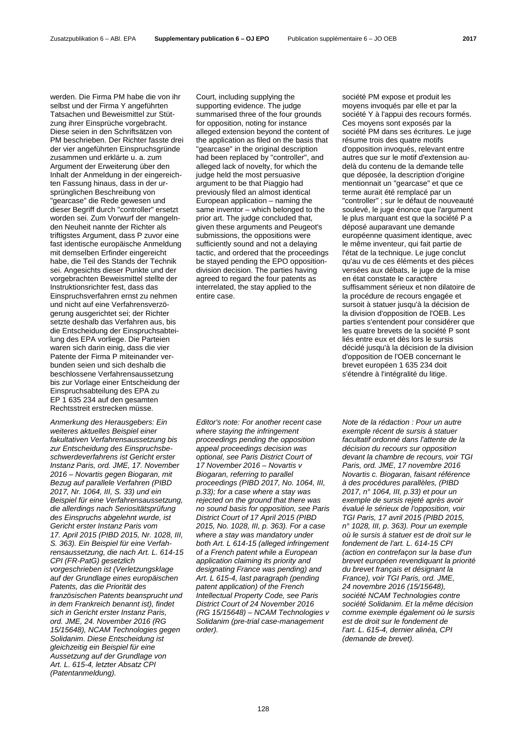werden. Die Firma PM habe die von ihr selbst und der Firma Y angeführten Tatsachen und Beweismittel zur Stützung ihrer Einsprüche vorgebracht. Diese seien in den Schriftsätzen von PM beschrieben. Der Richter fasste drei der vier angeführten Einspruchsgründe zusammen und erklärte u. a. zum Argument der Erweiterung über den Inhalt der Anmeldung in der eingereichten Fassung hinaus, dass in der ursprünglichen Beschreibung von "gearcase" die Rede gewesen und dieser Begriff durch "controller" ersetzt worden sei. Zum Vorwurf der mangelnden Neuheit nannte der Richter als triftigstes Argument, dass P zuvor eine fast identische europäische Anmeldung mit demselben Erfinder eingereicht habe, die Teil des Stands der Technik sei. Angesichts dieser Punkte und der vorgebrachten Beweismittel stellte der Instruktionsrichter fest, dass das Einspruchsverfahren ernst zu nehmen und nicht auf eine Verfahrensverzögerung ausgerichtet sei; der Richter setzte deshalb das Verfahren aus, bis die Entscheidung der Einspruchsabteilung des EPA vorliege. Die Parteien waren sich darin einig, dass die vier Patente der Firma P miteinander verbunden seien und sich deshalb die beschlossene Verfahrensaussetzung bis zur Vorlage einer Entscheidung der Einspruchsabteilung des EPA zu EP 1 635 234 auf den gesamten Rechtsstreit erstrecken müsse.

*Anmerkung des Herausgebers: Ein weiteres aktuelles Beispiel einer fakultativen Verfahrensaussetzung bis zur Entscheidung des Einspruchsbeschwerdeverfahrens ist Gericht erster Instanz Paris, ord. JME, 17. November 2016* – *Novartis gegen Biogaran, mit Bezug auf parallele Verfahren (PIBD 2017, Nr. 1064, III, S. 33) und ein Beispiel für eine Verfahrensaussetzung, die allerdings nach Seriositätsprüfung des Einspruchs abgelehnt wurde, ist Gericht erster Instanz Paris vom 17. April 2015 (PIBD 2015, Nr. 1028, III, S. 363). Ein Beispiel für eine Verfahrensaussetzung, die nach Art. L. 614-15 CPI (FR-PatG) gesetzlich vorgeschrieben ist (Verletzungsklage auf der Grundlage eines europäischen Patents, das die Priorität des französischen Patents beansprucht und in dem Frankreich benannt ist), findet sich in Gericht erster Instanz Paris, ord. JME, 24. November 2016 (RG 15/15648), NCAM Technologies gegen Solidanim. Diese Entscheidung ist gleichzeitig ein Beispiel für eine Aussetzung auf der Grundlage von Art. L. 615-4, letzter Absatz CPI (Patentanmeldung).*

Court, including supplying the supporting evidence. The judge summarised three of the four grounds for opposition, noting for instance alleged extension beyond the content of the application as filed on the basis that "gearcase" in the original description had been replaced by "controller", and alleged lack of novelty, for which the judge held the most persuasive argument to be that Piaggio had previously filed an almost identical European application – naming the same inventor – which belonged to the prior art. The judge concluded that, given these arguments and Peugeot's submissions, the oppositions were sufficiently sound and not a delaying tactic, and ordered that the proceedings be stayed pending the EPO oppositiondivision decision. The parties having agreed to regard the four patents as interrelated, the stay applied to the entire case.

*Editor's note: For another recent case where staying the infringement proceedings pending the opposition appeal proceedings decision was optional, see Paris District Court of 17 November 2016 – Novartis v Biogaran, referring to parallel proceedings (PIBD 2017, No. 1064, III, p.33); for a case where a stay was rejected on the ground that there was no sound basis for opposition, see Paris District Court of 17 April 2015 (PIBD 2015, No. 1028, III, p. 363). For a case where a stay was mandatory under both Art. L 614-15 (alleged infringement of a French patent while a European application claiming its priority and designating France was pending) and Art. L 615-4, last paragraph (pending patent application) of the French Intellectual Property Code, see Paris District Court of 24 November 2016 (RG 15/15648) – NCAM Technologies v Solidanim (pre-trial case-management order).*

société PM expose et produit les moyens invoqués par elle et par la société Y à l'appui des recours formés. Ces moyens sont exposés par la société PM dans ses écritures. Le juge résume trois des quatre motifs d'opposition invoqués, relevant entre autres que sur le motif d'extension audelà du contenu de la demande telle que déposée, la description d'origine mentionnait un "gearcase" et que ce terme aurait été remplacé par un "controller" ; sur le défaut de nouveauté soulevé, le juge énonce que l'argument le plus marquant est que la société P a déposé auparavant une demande européenne quasiment identique, avec le même inventeur, qui fait partie de l'état de la technique. Le juge conclut qu'au vu de ces éléments et des pièces versées aux débats, le juge de la mise en état constate le caractère suffisamment sérieux et non dilatoire de la procédure de recours engagée et sursoit à statuer jusqu'à la décision de la division d'opposition de l'OEB. Les parties s'entendent pour considérer que les quatre brevets de la société P sont liés entre eux et dès lors le sursis décidé jusqu'à la décision de la division d'opposition de l'OEB concernant le brevet européen 1 635 234 doit s'étendre à l'intégralité du litige.

*Note de la rédaction : Pour un autre exemple récent de sursis à statuer facultatif ordonné dans l'attente de la décision du recours sur opposition devant la chambre de recours, voir TGI Paris, ord. JME, 17 novembre 2016 Novartis c. Biogaran, faisant référence à des procédures parallèles, (PIBD 2017, n° 1064, III, p.33) et pour un exemple de sursis rejeté après avoir évalué le sérieux de l'opposition, voir TGI Paris, 17 avril 2015 (PIBD 2015, n° 1028, III, p. 363). Pour un exemple où le sursis à statuer est de droit sur le fondement de l'art. L. 614-15 CPI (action en contrefaçon sur la base d'un brevet européen revendiquant la priorité du brevet français et désignant la France), voir TGI Paris, ord. JME, 24 novembre 2016 (15/15648), société NCAM Technologies contre société Solidanim. Et la même décision comme exemple également où le sursis est de droit sur le fondement de l'art. L. 615-4, dernier alinéa, CPI (demande de brevet).*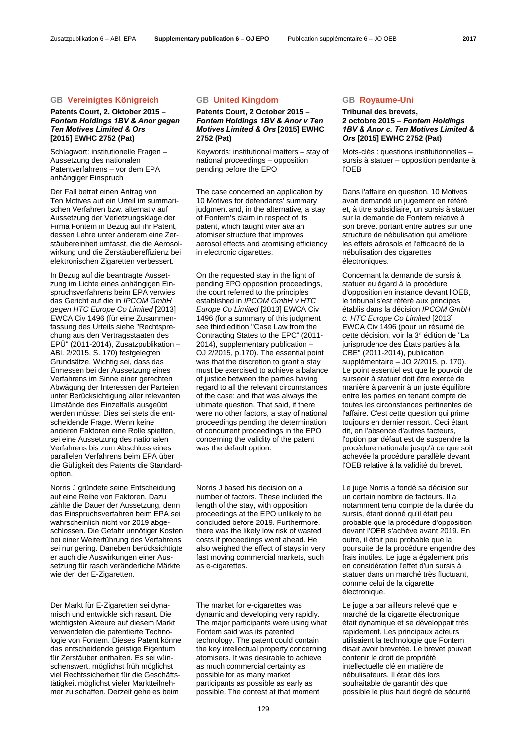## **GB Vereinigtes Königreich GB United Kingdom GB Royaume-Uni**

## **Patents Court, 2. Oktober 2015 –** *Fontem Holdings 1BV & Anor gegen Ten Motives Limited & Ors*  **[2015] EWHC 2752 (Pat)**

Schlagwort: institutionelle Fragen – Aussetzung des nationalen Patentverfahrens – vor dem EPA anhängiger Einspruch

Der Fall betraf einen Antrag von Ten Motives auf ein Urteil im summarischen Verfahren bzw. alternativ auf Aussetzung der Verletzungsklage der Firma Fontem in Bezug auf ihr Patent, dessen Lehre unter anderem eine Zerstäubereinheit umfasst, die die Aerosolwirkung und die Zerstäubereffizienz bei elektronischen Zigaretten verbessert.

In Bezug auf die beantragte Aussetzung im Lichte eines anhängigen Einspruchsverfahrens beim EPA verwies das Gericht auf die in *IPCOM GmbH gegen HTC Europe Co Limited* [2013] EWCA Civ 1496 (für eine Zusammenfassung des Urteils siehe "Rechtsprechung aus den Vertragsstaaten des EPÜ" (2011-2014), Zusatzpublikation – ABl. 2/2015, S. 170) festgelegten Grundsätze. Wichtig sei, dass das Ermessen bei der Aussetzung eines Verfahrens im Sinne einer gerechten Abwägung der Interessen der Parteien unter Berücksichtigung aller relevanten Umstände des Einzelfalls ausgeübt werden müsse: Dies sei stets die entscheidende Frage. Wenn keine anderen Faktoren eine Rolle spielten, sei eine Aussetzung des nationalen Verfahrens bis zum Abschluss eines parallelen Verfahrens beim EPA über die Gültigkeit des Patents die Standardoption.

Norris J gründete seine Entscheidung auf eine Reihe von Faktoren. Dazu zählte die Dauer der Aussetzung, denn das Einspruchsverfahren beim EPA sei wahrscheinlich nicht vor 2019 abgeschlossen. Die Gefahr unnötiger Kosten bei einer Weiterführung des Verfahrens sei nur gering. Daneben berücksichtigte er auch die Auswirkungen einer Aussetzung für rasch veränderliche Märkte wie den der E-Zigaretten.

Der Markt für E-Zigaretten sei dynamisch und entwickle sich rasant. Die wichtigsten Akteure auf diesem Markt verwendeten die patentierte Technologie von Fontem. Dieses Patent könne das entscheidende geistige Eigentum für Zerstäuber enthalten. Es sei wünschenswert, möglichst früh möglichst viel Rechtssicherheit für die Geschäftstätigkeit möglichst vieler Marktteilnehmer zu schaffen. Derzeit gehe es beim

## **Patents Court, 2 October 2015 –** *Fontem Holdings 1BV & Anor v Ten Motives Limited & Ors* **[2015] EWHC 2752 (Pat)**

 Keywords: institutional matters – stay of national proceedings – opposition pending before the EPO

 The case concerned an application by 10 Motives for defendants' summary judgment and, in the alternative, a stay of Fontem's claim in respect of its patent, which taught *inter alia* an atomiser structure that improves aerosol effects and atomising efficiency in electronic cigarettes.

 On the requested stay in the light of pending EPO opposition proceedings, the court referred to the principles established in *IPCOM GmbH v HTC Europe Co Limited* [2013] EWCA Civ 1496 (for a summary of this judgment see third edition "Case Law from the Contracting States to the EPC" (2011- 2014), supplementary publication – OJ 2/2015, p.170). The essential point was that the discretion to grant a stay must be exercised to achieve a balance of justice between the parties having regard to all the relevant circumstances of the case: and that was always the ultimate question. That said, if there were no other factors, a stay of national proceedings pending the determination of concurrent proceedings in the EPO concerning the validity of the patent was the default option.

 Norris J based his decision on a number of factors. These included the length of the stay, with opposition proceedings at the EPO unlikely to be concluded before 2019. Furthermore, there was the likely low risk of wasted costs if proceedings went ahead. He also weighed the effect of stays in very fast moving commercial markets, such as e-cigarettes.

 The market for e-cigarettes was dynamic and developing very rapidly. The major participants were using what Fontem said was its patented technology. The patent could contain the key intellectual property concerning atomisers. It was desirable to achieve as much commercial certainty as possible for as many market participants as possible as early as possible. The contest at that moment

## **Tribunal des brevets, 2 octobre 2015 –** *Fontem Holdings 1BV & Anor c. Ten Motives Limited & Ors* **[2015] EWHC 2752 (Pat)**

 Mots-clés : questions institutionnelles – sursis à statuer – opposition pendante à l'OEB

 Dans l'affaire en question, 10 Motives avait demandé un jugement en référé et, à titre subsidiaire, un sursis à statuer sur la demande de Fontem relative à son brevet portant entre autres sur une structure de nébulisation qui améliore les effets aérosols et l'efficacité de la nébulisation des cigarettes électroniques.

 Concernant la demande de sursis à statuer eu égard à la procédure d'opposition en instance devant l'OEB, le tribunal s'est référé aux principes établis dans la décision *IPCOM GmbH c. HTC Europe Co Limited* [2013] EWCA Civ 1496 (pour un résumé de cette décision, voir la 3e édition de "La jurisprudence des États parties à la CBE" (2011-2014), publication supplémentaire – JO 2/2015, p. 170). Le point essentiel est que le pouvoir de surseoir à statuer doit être exercé de manière à parvenir à un juste équilibre entre les parties en tenant compte de toutes les circonstances pertinentes de l'affaire. C'est cette question qui prime toujours en dernier ressort. Ceci étant dit, en l'absence d'autres facteurs, l'option par défaut est de suspendre la procédure nationale jusqu'à ce que soit achevée la procédure parallèle devant l'OEB relative à la validité du brevet.

 Le juge Norris a fondé sa décision sur un certain nombre de facteurs. Il a notamment tenu compte de la durée du sursis, étant donné qu'il était peu probable que la procédure d'opposition devant l'OEB s'achève avant 2019. En outre, il était peu probable que la poursuite de la procédure engendre des frais inutiles. Le juge a également pris en considération l'effet d'un sursis à statuer dans un marché très fluctuant, comme celui de la cigarette électronique.

 Le juge a par ailleurs relevé que le marché de la cigarette électronique était dynamique et se développait très rapidement. Les principaux acteurs utilisaient la technologie que Fontem disait avoir brevetée. Le brevet pouvait contenir le droit de propriété intellectuelle clé en matière de nébulisateurs. Il était dès lors souhaitable de garantir dès que possible le plus haut degré de sécurité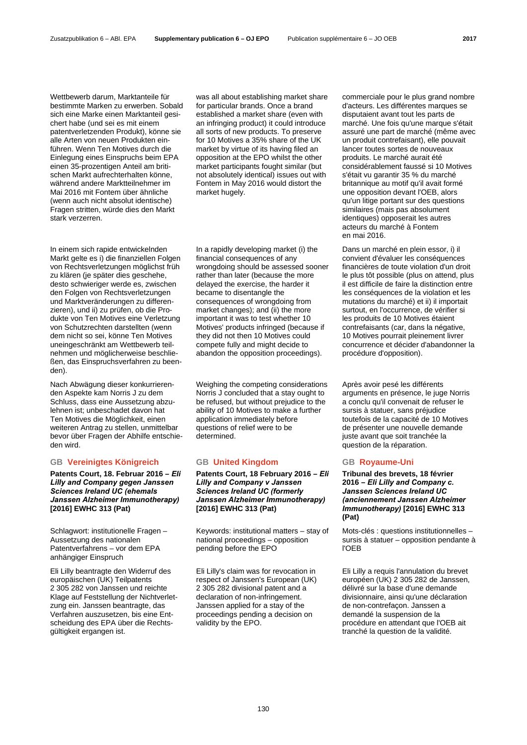Wettbewerb darum, Marktanteile für bestimmte Marken zu erwerben. Sobald sich eine Marke einen Marktanteil gesichert habe (und sei es mit einem patentverletzenden Produkt), könne sie alle Arten von neuen Produkten einführen. Wenn Ten Motives durch die Einlegung eines Einspruchs beim EPA einen 35-prozentigen Anteil am britischen Markt aufrechterhalten könne, während andere Marktteilnehmer im Mai 2016 mit Fontem über ähnliche (wenn auch nicht absolut identische) Fragen stritten, würde dies den Markt stark verzerren.

In einem sich rapide entwickelnden Markt gelte es i) die finanziellen Folgen von Rechtsverletzungen möglichst früh zu klären (je später dies geschehe, desto schwieriger werde es, zwischen den Folgen von Rechtsverletzungen und Marktveränderungen zu differenzieren), und ii) zu prüfen, ob die Produkte von Ten Motives eine Verletzung von Schutzrechten darstellten (wenn dem nicht so sei, könne Ten Motives uneingeschränkt am Wettbewerb teilnehmen und möglicherweise beschließen, das Einspruchsverfahren zu beenden).

Nach Abwägung dieser konkurrierenden Aspekte kam Norris J zu dem Schluss, dass eine Aussetzung abzulehnen ist; unbeschadet davon hat Ten Motives die Möglichkeit, einen weiteren Antrag zu stellen, unmittelbar bevor über Fragen der Abhilfe entschieden wird.

## **GB Vereinigtes Königreich GB United Kingdom GB Royaume-Uni**

**Patents Court, 18. Februar 2016 –** *Eli Lilly and Company gegen Janssen Sciences Ireland UC (ehemals Janssen Alzheimer Immunotherapy)*  **[2016] EWHC 313 (Pat)**

Schlagwort: institutionelle Fragen – Aussetzung des nationalen Patentverfahrens – vor dem EPA anhängiger Einspruch

Eli Lilly beantragte den Widerruf des europäischen (UK) Teilpatents 2 305 282 von Janssen und reichte Klage auf Feststellung der Nichtverletzung ein. Janssen beantragte, das Verfahren auszusetzen, bis eine Entscheidung des EPA über die Rechtsgültigkeit ergangen ist.

was all about establishing market share for particular brands. Once a brand established a market share (even with an infringing product) it could introduce all sorts of new products. To preserve for 10 Motives a 35% share of the UK market by virtue of its having filed an opposition at the EPO whilst the other market participants fought similar (but not absolutely identical) issues out with Fontem in May 2016 would distort the market hugely.

 In a rapidly developing market (i) the financial consequences of any wrongdoing should be assessed sooner rather than later (because the more delayed the exercise, the harder it became to disentangle the consequences of wrongdoing from market changes); and (ii) the more important it was to test whether 10 Motives' products infringed (because if they did not then 10 Motives could compete fully and might decide to abandon the opposition proceedings).

 Weighing the competing considerations Norris J concluded that a stay ought to be refused, but without prejudice to the ability of 10 Motives to make a further application immediately before questions of relief were to be determined.

**Patents Court, 18 February 2016 –** *Eli Lilly and Company v Janssen Sciences Ireland UC (formerly Janssen Alzheimer Immunotherapy)*  **[2016] EWHC 313 (Pat)**

 Keywords: institutional matters – stay of national proceedings – opposition pending before the EPO

 Eli Lilly's claim was for revocation in respect of Janssen's European (UK) 2 305 282 divisional patent and a declaration of non-infringement. Janssen applied for a stay of the proceedings pending a decision on validity by the EPO.

commerciale pour le plus grand nombre d'acteurs. Les différentes marques se disputaient avant tout les parts de marché. Une fois qu'une marque s'était assuré une part de marché (même avec un produit contrefaisant), elle pouvait lancer toutes sortes de nouveaux produits. Le marché aurait été considérablement faussé si 10 Motives s'était vu garantir 35 % du marché britannique au motif qu'il avait formé une opposition devant l'OEB, alors qu'un litige portant sur des questions similaires (mais pas absolument identiques) opposerait les autres acteurs du marché à Fontem en mai 2016.

 Dans un marché en plein essor, i) il convient d'évaluer les conséquences financières de toute violation d'un droit le plus tôt possible (plus on attend, plus il est difficile de faire la distinction entre les conséquences de la violation et les mutations du marché) et ii) il importait surtout, en l'occurrence, de vérifier si les produits de 10 Motives étaient contrefaisants (car, dans la négative, 10 Motives pourrait pleinement livrer concurrence et décider d'abandonner la procédure d'opposition).

Après avoir pesé les différents arguments en présence, le juge Norris a conclu qu'il convenait de refuser le sursis à statuer, sans préjudice toutefois de la capacité de 10 Motives de présenter une nouvelle demande juste avant que soit tranchée la question de la réparation.

**Tribunal des brevets, 18 février 2016 –** *Eli Lilly and Company c. Janssen Sciences Ireland UC (anciennement Janssen Alzheimer Immunotherapy)* **[2016] EWHC 313 (Pat)**

 Mots-clés : questions institutionnelles – sursis à statuer – opposition pendante à l'OEB

 Eli Lilly a requis l'annulation du brevet européen (UK) 2 305 282 de Janssen, délivré sur la base d'une demande divisionnaire, ainsi qu'une déclaration de non-contrefaçon. Janssen a demandé la suspension de la procédure en attendant que l'OEB ait tranché la question de la validité.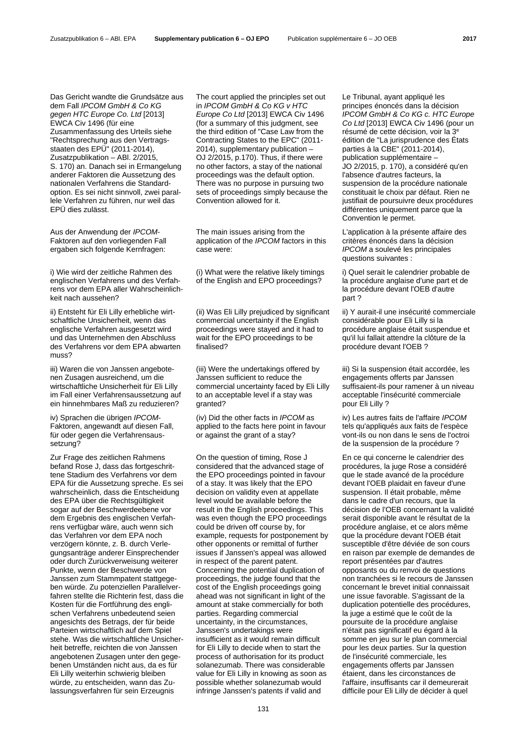Das Gericht wandte die Grundsätze aus dem Fall *IPCOM GmbH & Co KG gegen HTC Europe Co. Ltd* [2013] EWCA Civ 1496 (für eine Zusammenfassung des Urteils siehe "Rechtsprechung aus den Vertragsstaaten des EPÜ" (2011-2014), Zusatzpublikation – ABl. 2/2015, S. 170) an. Danach sei in Ermangelung anderer Faktoren die Aussetzung des nationalen Verfahrens die Standardoption. Es sei nicht sinnvoll, zwei parallele Verfahren zu führen, nur weil das EPÜ dies zulässt.

Aus der Anwendung der *IPCOM*-Faktoren auf den vorliegenden Fall ergaben sich folgende Kernfragen:

i) Wie wird der zeitliche Rahmen des englischen Verfahrens und des Verfahrens vor dem EPA aller Wahrscheinlichkeit nach aussehen?

ii) Entsteht für Eli Lilly erhebliche wirtschaftliche Unsicherheit, wenn das englische Verfahren ausgesetzt wird und das Unternehmen den Abschluss des Verfahrens vor dem EPA abwarten muss?

iii) Waren die von Janssen angebotenen Zusagen ausreichend, um die wirtschaftliche Unsicherheit für Eli Lilly im Fall einer Verfahrensaussetzung auf ein hinnehmbares Maß zu reduzieren?

iv) Sprachen die übrigen *IPCOM*-Faktoren, angewandt auf diesen Fall, für oder gegen die Verfahrensaussetzung?

Zur Frage des zeitlichen Rahmens befand Rose J, dass das fortgeschrittene Stadium des Verfahrens vor dem EPA für die Aussetzung spreche. Es sei wahrscheinlich, dass die Entscheidung des EPA über die Rechtsgültigkeit sogar auf der Beschwerdeebene vor dem Ergebnis des englischen Verfahrens verfügbar wäre, auch wenn sich das Verfahren vor dem EPA noch verzögern könnte, z. B. durch Verlegungsanträge anderer Einsprechender oder durch Zurückverweisung weiterer Punkte, wenn der Beschwerde von Janssen zum Stammpatent stattgegeben würde. Zu potenziellen Parallelverfahren stellte die Richterin fest, dass die Kosten für die Fortführung des englischen Verfahrens unbedeutend seien angesichts des Betrags, der für beide Parteien wirtschaftlich auf dem Spiel stehe. Was die wirtschaftliche Unsicherheit betreffe, reichten die von Janssen angebotenen Zusagen unter den gegebenen Umständen nicht aus, da es für Eli Lilly weiterhin schwierig bleiben würde, zu entscheiden, wann das Zulassungsverfahren für sein Erzeugnis

 The court applied the principles set out in *IPCOM GmbH & Co KG v HTC Europe Co Ltd* [2013] EWCA Civ 1496 (for a summary of this judgment, see the third edition of "Case Law from the Contracting States to the EPC" (2011- 2014), supplementary publication – OJ 2/2015, p.170). Thus, if there were no other factors, a stay of the national proceedings was the default option. There was no purpose in pursuing two sets of proceedings simply because the Convention allowed for it.

 The main issues arising from the application of the *IPCOM* factors in this case were:

 (i) What were the relative likely timings of the English and EPO proceedings?

 (ii) Was Eli Lilly prejudiced by significant commercial uncertainty if the English proceedings were stayed and it had to wait for the EPO proceedings to be finalised?

 (iii) Were the undertakings offered by Janssen sufficient to reduce the commercial uncertainty faced by Eli Lilly to an acceptable level if a stay was granted?

 (iv) Did the other facts in *IPCOM* as applied to the facts here point in favour or against the grant of a stay?

 On the question of timing, Rose J considered that the advanced stage of the EPO proceedings pointed in favour of a stay. It was likely that the EPO decision on validity even at appellate level would be available before the result in the English proceedings. This was even though the EPO proceedings could be driven off course by, for example, requests for postponement by other opponents or remittal of further issues if Janssen's appeal was allowed in respect of the parent patent. Concerning the potential duplication of proceedings, the judge found that the cost of the English proceedings going ahead was not significant in light of the amount at stake commercially for both parties. Regarding commercial uncertainty, in the circumstances, Janssen's undertakings were insufficient as it would remain difficult for Eli Lilly to decide when to start the process of authorisation for its product solanezumab. There was considerable value for Eli Lilly in knowing as soon as possible whether solanezumab would infringe Janssen's patents if valid and

 Le Tribunal, ayant appliqué les principes énoncés dans la décision *IPCOM GmbH & Co KG c. HTC Europe Co Ltd* [2013] EWCA Civ 1496 (pour un résumé de cette décision, voir la 3e édition de "La jurisprudence des États parties à la CBE" (2011-2014), publication supplémentaire – JO 2/2015, p. 170), a considéré qu'en l'absence d'autres facteurs, la suspension de la procédure nationale constituait le choix par défaut. Rien ne justifiait de poursuivre deux procédures différentes uniquement parce que la Convention le permet.

 L'application à la présente affaire des critères énoncés dans la décision *IPCOM* a soulevé les principales questions suivantes :

 i) Quel serait le calendrier probable de la procédure anglaise d'une part et de la procédure devant l'OEB d'autre part ?

 ii) Y aurait-il une insécurité commerciale considérable pour Eli Lilly si la procédure anglaise était suspendue et qu'il lui fallait attendre la clôture de la procédure devant l'OEB ?

 iii) Si la suspension était accordée, les engagements offerts par Janssen suffisaient-ils pour ramener à un niveau acceptable l'insécurité commerciale pour Eli Lilly ?

 iv) Les autres faits de l'affaire *IPCOM* tels qu'appliqués aux faits de l'espèce vont-ils ou non dans le sens de l'octroi de la suspension de la procédure ?

 En ce qui concerne le calendrier des procédures, la juge Rose a considéré que le stade avancé de la procédure devant l'OEB plaidait en faveur d'une suspension. Il était probable, même dans le cadre d'un recours, que la décision de l'OEB concernant la validité serait disponible avant le résultat de la procédure anglaise, et ce alors même que la procédure devant l'OEB était susceptible d'être déviée de son cours en raison par exemple de demandes de report présentées par d'autres opposants ou du renvoi de questions non tranchées si le recours de Janssen concernant le brevet initial connaissait une issue favorable. S'agissant de la duplication potentielle des procédures, la juge a estimé que le coût de la poursuite de la procédure anglaise n'était pas significatif eu égard à la somme en jeu sur le plan commercial pour les deux parties. Sur la question de l'insécurité commerciale, les engagements offerts par Janssen étaient, dans les circonstances de l'affaire, insuffisants car il demeurerait difficile pour Eli Lilly de décider à quel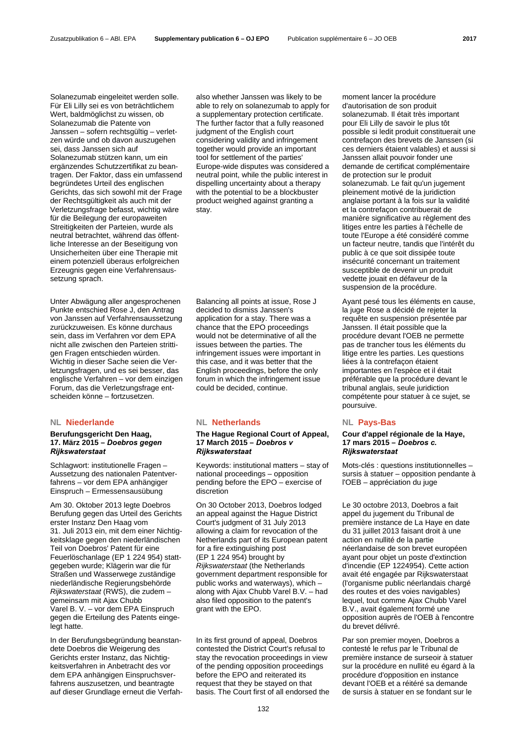Solanezumab eingeleitet werden solle. Für Eli Lilly sei es von beträchtlichem Wert, baldmöglichst zu wissen, ob Solanezumab die Patente von Janssen – sofern rechtsgültig – verletzen würde und ob davon auszugehen sei, dass Janssen sich auf Solanezumab stützen kann, um ein ergänzendes Schutzzertifikat zu beantragen. Der Faktor, dass ein umfassend begründetes Urteil des englischen Gerichts, das sich sowohl mit der Frage der Rechtsgültigkeit als auch mit der Verletzungsfrage befasst, wichtig wäre für die Beilegung der europaweiten Streitigkeiten der Parteien, wurde als neutral betrachtet, während das öffentliche Interesse an der Beseitigung von Unsicherheiten über eine Therapie mit einem potenziell überaus erfolgreichen Erzeugnis gegen eine Verfahrensaussetzung sprach.

Unter Abwägung aller angesprochenen Punkte entschied Rose J, den Antrag von Janssen auf Verfahrensaussetzung zurückzuweisen. Es könne durchaus sein, dass im Verfahren vor dem EPA nicht alle zwischen den Parteien strittigen Fragen entschieden würden. Wichtig in dieser Sache seien die Verletzungsfragen, und es sei besser, das englische Verfahren – vor dem einzigen Forum, das die Verletzungsfrage entscheiden könne – fortzusetzen.

## **NL Niederlande NL Netherlands NL Pays-Bas**

### **Berufungsgericht Den Haag, 17. März 2015 –** *Doebros gegen Rijkswaterstaat*

Schlagwort: institutionelle Fragen – Aussetzung des nationalen Patentverfahrens – vor dem FPA anhängiger Einspruch – Ermessensausübung

Am 30. Oktober 2013 legte Doebros Berufung gegen das Urteil des Gerichts erster Instanz Den Haag vom 31. Juli 2013 ein, mit dem einer Nichtigkeitsklage gegen den niederländischen Teil von Doebros' Patent für eine Feuerlöschanlage (EP 1 224 954) stattgegeben wurde; Klägerin war die für Straßen und Wasserwege zuständige niederländische Regierungsbehörde *Rijkswaterstaat* (RWS), die zudem – gemeinsam mit Ajax Chubb Varel B. V. – vor dem EPA Einspruch gegen die Erteilung des Patents eingelegt hatte.

In der Berufungsbegründung beanstandete Doebros die Weigerung des Gerichts erster Instanz, das Nichtigkeitsverfahren in Anbetracht des vor dem EPA anhängigen Einspruchsverfahrens auszusetzen, und beantragte auf dieser Grundlage erneut die Verfah-

also whether Janssen was likely to be able to rely on solanezumab to apply for a supplementary protection certificate. The further factor that a fully reasoned judgment of the English court considering validity and infringement together would provide an important tool for settlement of the parties' Europe-wide disputes was considered a neutral point, while the public interest in dispelling uncertainty about a therapy with the potential to be a blockbuster product weighed against granting a stay.

 Balancing all points at issue, Rose J decided to dismiss Janssen's application for a stay. There was a chance that the EPO proceedings would not be determinative of all the issues between the parties. The infringement issues were important in this case, and it was better that the English proceedings, before the only forum in which the infringement issue could be decided, continue.

### **The Hague Regional Court of Appeal, 17 March 2015 –** *Doebros v Rijkswaterstaat*

 Keywords: institutional matters – stay of national proceedings – opposition pending before the EPO – exercise of discretion

 On 30 October 2013, Doebros lodged an appeal against the Hague District Court's judgment of 31 July 2013 allowing a claim for revocation of the Netherlands part of its European patent for a fire extinguishing post (EP 1 224 954) brought by *Rijkswaterstaat* (the Netherlands government department responsible for public works and waterways), which – along with Ajax Chubb Varel B.V. – had also filed opposition to the patent's grant with the EPO.

 In its first ground of appeal, Doebros contested the District Court's refusal to stay the revocation proceedings in view of the pending opposition proceedings before the EPO and reiterated its request that they be stayed on that basis. The Court first of all endorsed the moment lancer la procédure d'autorisation de son produit solanezumab. Il était très important pour Eli Lilly de savoir le plus tôt possible si ledit produit constituerait une contrefaçon des brevets de Janssen (si ces derniers étaient valables) et aussi si Janssen allait pouvoir fonder une demande de certificat complémentaire de protection sur le produit solanezumab. Le fait qu'un jugement pleinement motivé de la juridiction anglaise portant à la fois sur la validité et la contrefaçon contribuerait de manière significative au règlement des litiges entre les parties à l'échelle de toute l'Europe a été considéré comme un facteur neutre, tandis que l'intérêt du public à ce que soit dissipée toute insécurité concernant un traitement susceptible de devenir un produit vedette jouait en défaveur de la suspension de la procédure.

Ayant pesé tous les éléments en cause, la juge Rose a décidé de rejeter la requête en suspension présentée par Janssen. Il était possible que la procédure devant l'OEB ne permette pas de trancher tous les éléments du litige entre les parties. Les questions liées à la contrefaçon étaient importantes en l'espèce et il était préférable que la procédure devant le tribunal anglais, seule juridiction compétente pour statuer à ce sujet, se poursuive.

### **Cour d'appel régionale de la Haye, 17 mars 2015 –** *Doebros c. Rijkswaterstaat*

 Mots-clés : questions institutionnelles – sursis à statuer – opposition pendante à l'OEB – appréciation du juge

 Le 30 octobre 2013, Doebros a fait appel du jugement du Tribunal de première instance de La Haye en date du 31 juillet 2013 faisant droit à une action en nullité de la partie néerlandaise de son brevet européen ayant pour objet un poste d'extinction d'incendie (EP 1224954). Cette action avait été engagée par Rijkswaterstaat (l'organisme public néerlandais chargé des routes et des voies navigables) lequel, tout comme Ajax Chubb Varel B.V., avait également formé une opposition auprès de l'OEB à l'encontre du brevet délivré.

 Par son premier moyen, Doebros a contesté le refus par le Tribunal de première instance de surseoir à statuer sur la procédure en nullité eu égard à la procédure d'opposition en instance devant l'OEB et a réitéré sa demande de sursis à statuer en se fondant sur le